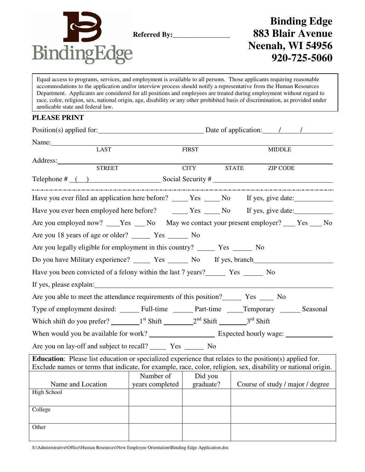

# **Binding Edge Referred By:\_\_\_\_\_\_\_\_\_\_\_\_\_\_\_\_ 883 Blair Avenue Neenah, WI 54956 920-725-5060**

Equal access to programs, services, and employment is available to all persons. Those applicants requiring reasonable accommodations to the application and/or interview process should notify a representative from the Human Resources Department. Applicants are considered for all positions and employees are treated during employment without regard to race, color, religion, sex, national origin, age, disability or any other prohibited basis of discrimination, as provided under applicable state and federal law.

## **PLEASE PRINT**

| Position(s) applied for:                                                                                                                                                                                                                                                                                                             | Date of application: 1                                         |              |              |               |                 |  |  |
|--------------------------------------------------------------------------------------------------------------------------------------------------------------------------------------------------------------------------------------------------------------------------------------------------------------------------------------|----------------------------------------------------------------|--------------|--------------|---------------|-----------------|--|--|
| Name:                                                                                                                                                                                                                                                                                                                                |                                                                |              |              |               |                 |  |  |
| <b>LAST</b>                                                                                                                                                                                                                                                                                                                          |                                                                | <b>FIRST</b> |              | <b>MIDDLE</b> |                 |  |  |
| Address:<br><b>STREET</b>                                                                                                                                                                                                                                                                                                            |                                                                | <b>CITY</b>  | <b>STATE</b> |               | <b>ZIP CODE</b> |  |  |
|                                                                                                                                                                                                                                                                                                                                      |                                                                |              |              |               |                 |  |  |
| Telephone $\#$ $\qquad$ $\qquad$ $\qquad$ $\qquad$ $\qquad$ $\qquad$ $\qquad$ $\qquad$ $\qquad$ $\qquad$ $\qquad$ $\qquad$ $\qquad$ $\qquad$ $\qquad$ $\qquad$ $\qquad$ $\qquad$ $\qquad$ $\qquad$ $\qquad$ $\qquad$ $\qquad$ $\qquad$ $\qquad$ $\qquad$ $\qquad$ $\qquad$ $\qquad$ $\qquad$ $\qquad$ $\qquad$ $\qquad$ $\qquad$ $\$ |                                                                |              |              |               |                 |  |  |
| Have you ever filed an application here before? ______ Yes _____ No If yes, give date: ____________                                                                                                                                                                                                                                  |                                                                |              |              |               |                 |  |  |
|                                                                                                                                                                                                                                                                                                                                      |                                                                |              |              |               |                 |  |  |
| Are you employed now? ___Yes ___No May we contact your present employer? ___ Yes ___No                                                                                                                                                                                                                                               |                                                                |              |              |               |                 |  |  |
|                                                                                                                                                                                                                                                                                                                                      |                                                                |              |              |               |                 |  |  |
|                                                                                                                                                                                                                                                                                                                                      |                                                                |              |              |               |                 |  |  |
| Do you have Military experience? _________ Yes ________ No If yes, branch______________                                                                                                                                                                                                                                              |                                                                |              |              |               |                 |  |  |
|                                                                                                                                                                                                                                                                                                                                      |                                                                |              |              |               |                 |  |  |
| If yes, please explain:                                                                                                                                                                                                                                                                                                              |                                                                |              |              |               |                 |  |  |
| Are you able to meet the attendance requirements of this position? Tes ______ No                                                                                                                                                                                                                                                     |                                                                |              |              |               |                 |  |  |
|                                                                                                                                                                                                                                                                                                                                      |                                                                |              |              |               |                 |  |  |
|                                                                                                                                                                                                                                                                                                                                      |                                                                |              |              |               |                 |  |  |
|                                                                                                                                                                                                                                                                                                                                      |                                                                |              |              |               |                 |  |  |
|                                                                                                                                                                                                                                                                                                                                      |                                                                |              |              |               |                 |  |  |
| <b>Education:</b> Please list education or specialized experience that relates to the position(s) applied for.<br>Exclude names or terms that indicate, for example, race, color, religion, sex, disability or national origin.                                                                                                      |                                                                |              |              |               |                 |  |  |
|                                                                                                                                                                                                                                                                                                                                      | Number of                                                      | Did you      |              |               |                 |  |  |
| Name and Location<br><b>Contract Contract</b>                                                                                                                                                                                                                                                                                        | years completed   graduate?   Course of study / major / degree |              |              |               |                 |  |  |
| High School                                                                                                                                                                                                                                                                                                                          |                                                                |              |              |               |                 |  |  |
| College                                                                                                                                                                                                                                                                                                                              |                                                                |              |              |               |                 |  |  |
| Other                                                                                                                                                                                                                                                                                                                                |                                                                |              |              |               |                 |  |  |
|                                                                                                                                                                                                                                                                                                                                      |                                                                |              |              |               |                 |  |  |

S:\Administrative\Office\Human Resources\New Employee Orientation\Binding Edge Application.doc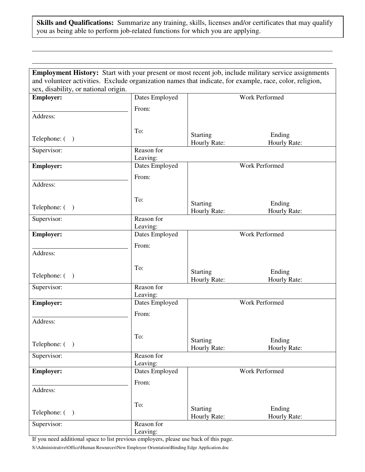### **Skills and Qualifications:** Summarize any training, skills, licenses and/or certificates that may qualify you as being able to perform job-related functions for which you are applying.

|                                                                                                         | Employment History: Start with your present or most recent job, include military service assignments |                          |                        |  |  |  |  |  |
|---------------------------------------------------------------------------------------------------------|------------------------------------------------------------------------------------------------------|--------------------------|------------------------|--|--|--|--|--|
| and volunteer activities. Exclude organization names that indicate, for example, race, color, religion, |                                                                                                      |                          |                        |  |  |  |  |  |
| sex, disability, or national origin.                                                                    |                                                                                                      |                          |                        |  |  |  |  |  |
| <b>Employer:</b>                                                                                        | Dates Employed                                                                                       | Work Performed           |                        |  |  |  |  |  |
|                                                                                                         | From:                                                                                                |                          |                        |  |  |  |  |  |
| Address:                                                                                                |                                                                                                      |                          |                        |  |  |  |  |  |
|                                                                                                         |                                                                                                      |                          |                        |  |  |  |  |  |
|                                                                                                         | To:                                                                                                  |                          |                        |  |  |  |  |  |
| Telephone: ()                                                                                           |                                                                                                      | Starting<br>Hourly Rate: | Ending<br>Hourly Rate: |  |  |  |  |  |
| Supervisor:                                                                                             | Reason for                                                                                           |                          |                        |  |  |  |  |  |
|                                                                                                         | Leaving:                                                                                             |                          |                        |  |  |  |  |  |
| <b>Employer:</b>                                                                                        | Dates Employed                                                                                       | Work Performed           |                        |  |  |  |  |  |
|                                                                                                         | From:                                                                                                |                          |                        |  |  |  |  |  |
| Address:                                                                                                |                                                                                                      |                          |                        |  |  |  |  |  |
|                                                                                                         |                                                                                                      |                          |                        |  |  |  |  |  |
|                                                                                                         | To:                                                                                                  | Starting                 | Ending                 |  |  |  |  |  |
| Telephone: ()                                                                                           |                                                                                                      | Hourly Rate:             | Hourly Rate:           |  |  |  |  |  |
| Supervisor:                                                                                             | Reason for                                                                                           |                          |                        |  |  |  |  |  |
|                                                                                                         | Leaving:                                                                                             |                          |                        |  |  |  |  |  |
| <b>Employer:</b>                                                                                        | Dates Employed                                                                                       | Work Performed           |                        |  |  |  |  |  |
|                                                                                                         | From:                                                                                                |                          |                        |  |  |  |  |  |
| Address:                                                                                                |                                                                                                      |                          |                        |  |  |  |  |  |
|                                                                                                         |                                                                                                      |                          |                        |  |  |  |  |  |
|                                                                                                         | To:                                                                                                  | Starting                 | Ending                 |  |  |  |  |  |
| Telephone: ()                                                                                           |                                                                                                      | Hourly Rate:             | Hourly Rate:           |  |  |  |  |  |
| Supervisor:                                                                                             | Reason for                                                                                           |                          |                        |  |  |  |  |  |
|                                                                                                         | Leaving:                                                                                             |                          |                        |  |  |  |  |  |
| <b>Employer:</b>                                                                                        | Dates Employed                                                                                       | <b>Work Performed</b>    |                        |  |  |  |  |  |
|                                                                                                         | From:                                                                                                |                          |                        |  |  |  |  |  |
| Address:                                                                                                |                                                                                                      |                          |                        |  |  |  |  |  |
|                                                                                                         |                                                                                                      |                          |                        |  |  |  |  |  |
|                                                                                                         | To:                                                                                                  | Starting                 | Ending                 |  |  |  |  |  |
| Telephone: ()                                                                                           |                                                                                                      | Hourly Rate:             | Hourly Rate:           |  |  |  |  |  |
| Supervisor:                                                                                             | Reason for                                                                                           |                          |                        |  |  |  |  |  |
|                                                                                                         | Leaving:                                                                                             |                          |                        |  |  |  |  |  |
| <b>Employer:</b>                                                                                        | Dates Employed                                                                                       |                          | Work Performed         |  |  |  |  |  |
|                                                                                                         | From:                                                                                                |                          |                        |  |  |  |  |  |
| Address:                                                                                                |                                                                                                      |                          |                        |  |  |  |  |  |
|                                                                                                         |                                                                                                      |                          |                        |  |  |  |  |  |
|                                                                                                         | To:                                                                                                  | Starting                 | Ending                 |  |  |  |  |  |
| Telephone: ()                                                                                           |                                                                                                      | Hourly Rate:             | Hourly Rate:           |  |  |  |  |  |
| Supervisor:                                                                                             | Reason for                                                                                           |                          |                        |  |  |  |  |  |
|                                                                                                         | Leaving:                                                                                             |                          |                        |  |  |  |  |  |

If you need additional space to list previous employers, please use back of this page.

S:\Administrative\Office\Human Resources\New Employee Orientation\Binding Edge Application.doc